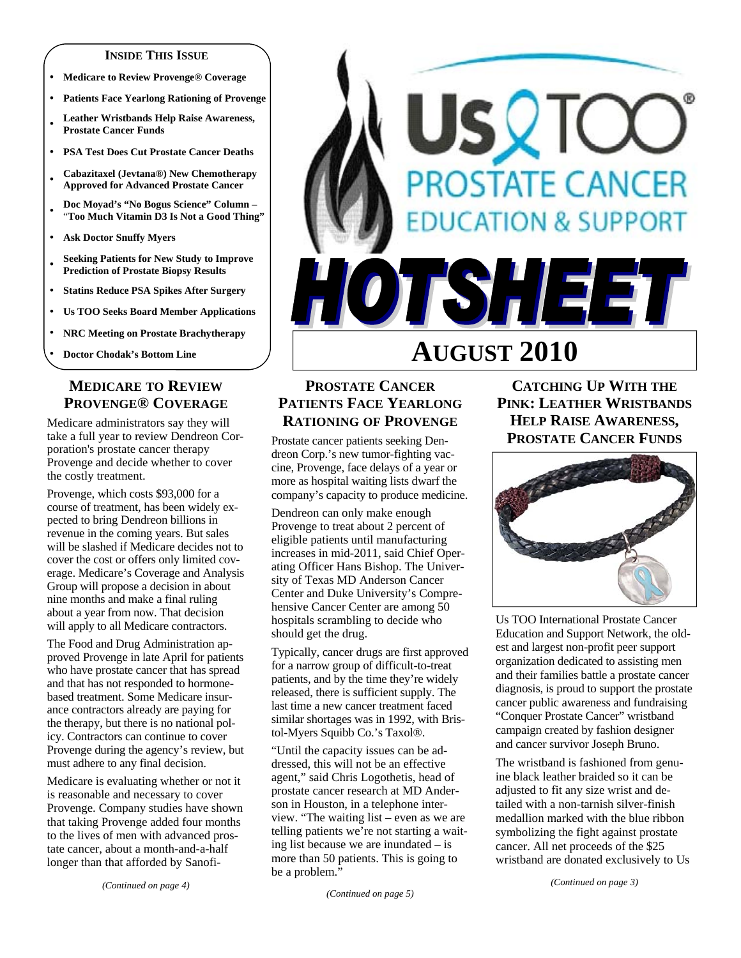#### **INSIDE THIS ISSUE**

- y **Medicare to Review Provenge® Coverage**
- **Patients Face Yearlong Rationing of Provenge**
- <sup>y</sup>**Leather Wristbands Help Raise Awareness, Prostate Cancer Funds**
- y **PSA Test Does Cut Prostate Cancer Deaths**
- <sup>y</sup>**Cabazitaxel (Jevtana®) New Chemotherapy Approved for Advanced Prostate Cancer**
- <sup>y</sup>**Doc Moyad's "No Bogus Science" Column**  "**Too Much Vitamin D3 Is Not a Good Thing"**
- **Ask Doctor Snuffy Myers**
- <sup>y</sup>**Seeking Patients for New Study to Improve Prediction of Prostate Biopsy Results**
- y **Statins Reduce PSA Spikes After Surgery**
- y **Us TOO Seeks Board Member Applications**
- y **NRC Meeting on Prostate Brachytherapy**
- **Doctor Chodak's Bottom Line**

## **MEDICARE TO REVIEW PROVENGE® COVERAGE**

Medicare administrators say they will take a full year to review Dendreon Corporation's prostate cancer therapy Provenge and decide whether to cover the costly treatment.

Provenge, which costs \$93,000 for a course of treatment, has been widely expected to bring Dendreon billions in revenue in the coming years. But sales will be slashed if Medicare decides not to cover the cost or offers only limited coverage. Medicare's Coverage and Analysis Group will propose a decision in about nine months and make a final ruling about a year from now. That decision will apply to all Medicare contractors.

The Food and Drug Administration approved Provenge in late April for patients who have prostate cancer that has spread and that has not responded to hormonebased treatment. Some Medicare insurance contractors already are paying for the therapy, but there is no national policy. Contractors can continue to cover Provenge during the agency's review, but must adhere to any final decision.

Medicare is evaluating whether or not it is reasonable and necessary to cover Provenge. Company studies have shown that taking Provenge added four months to the lives of men with advanced prostate cancer, about a month-and-a-half longer than that afforded by Sanofi-



## **PROSTATE CANCER PATIENTS FACE YEARLONG RATIONING OF PROVENGE**

Prostate cancer patients seeking Dendreon Corp.'s new tumor-fighting vaccine, Provenge, face delays of a year or more as hospital waiting lists dwarf the company's capacity to produce medicine.

Dendreon can only make enough Provenge to treat about 2 percent of eligible patients until manufacturing increases in mid-2011, said Chief Operating Officer Hans Bishop. The University of Texas MD Anderson Cancer Center and Duke University's Comprehensive Cancer Center are among 50 hospitals scrambling to decide who should get the drug.

Typically, cancer drugs are first approved for a narrow group of difficult-to-treat patients, and by the time they're widely released, there is sufficient supply. The last time a new cancer treatment faced similar shortages was in 1992, with Bristol-Myers Squibb Co.'s Taxol®.

"Until the capacity issues can be addressed, this will not be an effective agent," said Chris Logothetis, head of prostate cancer research at MD Anderson in Houston, in a telephone interview. "The waiting list – even as we are telling patients we're not starting a waiting list because we are inundated – is more than 50 patients. This is going to be a problem."

# **CATCHING UP WITH THE PINK: LEATHER WRISTBANDS HELP RAISE AWARENESS, PROSTATE CANCER FUNDS**



Us TOO International Prostate Cancer Education and Support Network, the oldest and largest non-profit peer support organization dedicated to assisting men and their families battle a prostate cancer diagnosis, is proud to support the prostate cancer public awareness and fundraising "Conquer Prostate Cancer" wristband campaign created by fashion designer and cancer survivor Joseph Bruno.

The wristband is fashioned from genuine black leather braided so it can be adjusted to fit any size wrist and detailed with a non-tarnish silver-finish medallion marked with the blue ribbon symbolizing the fight against prostate cancer. All net proceeds of the \$25 wristband are donated exclusively to Us

*(Continued on page 3)*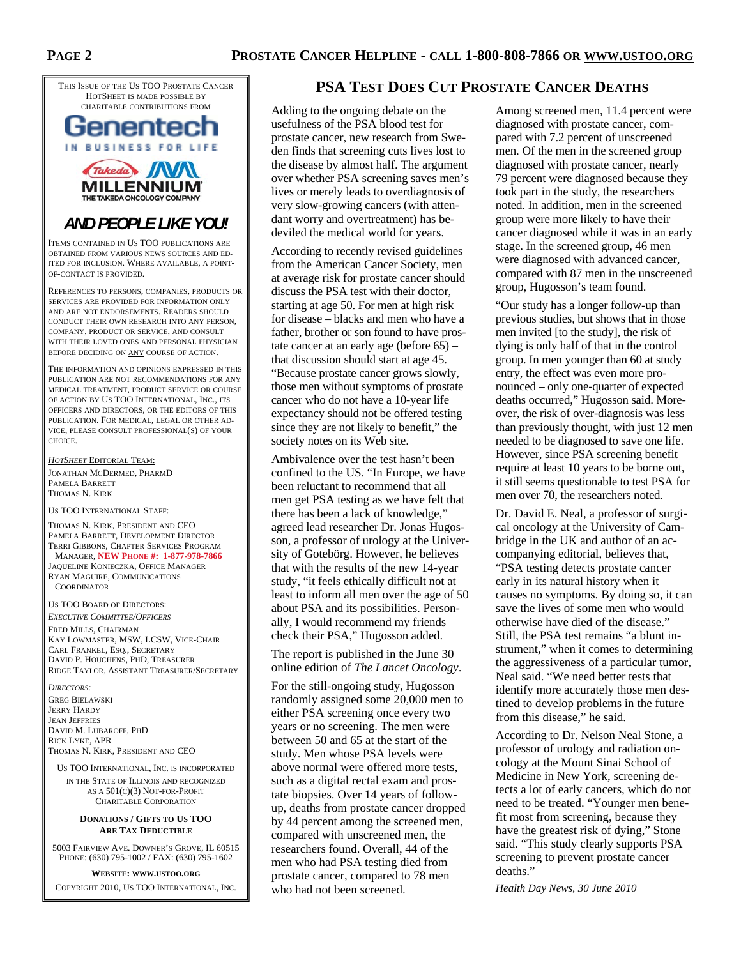THIS ISSUE OF THE US TOO PROSTATE CANCER HOTSHEET IS MADE POSSIBLE BY CHARITABLE CONTRIBUTIONS FROM





# *AND PEOPLE LIKE YOU!*

ITEMS CONTAINED IN US TOO PUBLICATIONS ARE OBTAINED FROM VARIOUS NEWS SOURCES AND ED-ITED FOR INCLUSION. WHERE AVAILABLE, A POINT-OF-CONTACT IS PROVIDED.

REFERENCES TO PERSONS, COMPANIES, PRODUCTS OR SERVICES ARE PROVIDED FOR INFORMATION ONLY AND ARE NOT ENDORSEMENTS. READERS SHOULD CONDUCT THEIR OWN RESEARCH INTO ANY PERSON, COMPANY, PRODUCT OR SERVICE, AND CONSULT WITH THEIR LOVED ONES AND PERSONAL PHYSICIAN BEFORE DECIDING ON ANY COURSE OF ACTION.

THE INFORMATION AND OPINIONS EXPRESSED IN THIS PUBLICATION ARE NOT RECOMMENDATIONS FOR ANY MEDICAL TREATMENT, PRODUCT SERVICE OR COURSE OF ACTION BY US TOO INTERNATIONAL, INC., ITS OFFICERS AND DIRECTORS, OR THE EDITORS OF THIS PUBLICATION. FOR MEDICAL, LEGAL OR OTHER AD-VICE, PLEASE CONSULT PROFESSIONAL(S) OF YOUR CHOICE.

*HOTSHEET* EDITORIAL TEAM:

JONATHAN MCDERMED, PHARMD PAMELA BARRETT THOMAS N. KIRK

#### US TOO INTERNATIONAL STAFF:

THOMAS N. KIRK, PRESIDENT AND CEO PAMELA BARRETT, DEVELOPMENT DIRECTOR TERRI GIBBONS, CHAPTER SERVICES PROGRAM MANAGER, **NEW PHONE #: 1-877-978-7866**

JAQUELINE KONIECZKA, OFFICE MANAGER RYAN MAGUIRE, COMMUNICATIONS **COORDINATOR** 

#### US TOO BOARD OF DIRECTORS:

*EXECUTIVE COMMITTEE/OFFICERS* FRED MILLS, CHAIRMAN KAY LOWMASTER, MSW, LCSW, VICE-CHAIR CARL FRANKEL, ESQ., SECRETARY DAVID P. HOUCHENS, PHD, TREASURER RIDGE TAYLOR, ASSISTANT TREASURER/SECRETARY

*DIRECTORS:*  GREG BIELAWSKI JERRY HARDY JEAN JEFFRIES DAVID M. LUBAROFF, PHD RICK LYKE, APR THOMAS N. KIRK, PRESIDENT AND CEO

US TOO INTERNATIONAL, INC. IS INCORPORATED IN THE STATE OF ILLINOIS AND RECOGNIZED AS A 501(C)(3) NOT-FOR-PROFIT CHARITABLE CORPORATION

#### **DONATIONS / GIFTS TO US TOO ARE TAX DEDUCTIBLE**

5003 FAIRVIEW AVE. DOWNER'S GROVE, IL 60515 PHONE: (630) 795-1002 / FAX: (630) 795-1602

**WEBSITE: WWW.USTOO.ORG** COPYRIGHT 2010, US TOO INTERNATIONAL, INC.

## **PSA TEST DOES CUT PROSTATE CANCER DEATHS**

Adding to the ongoing debate on the usefulness of the PSA blood test for prostate cancer, new research from Sweden finds that screening cuts lives lost to the disease by almost half. The argument over whether PSA screening saves men's lives or merely leads to overdiagnosis of very slow-growing cancers (with attendant worry and overtreatment) has bedeviled the medical world for years.

According to recently revised guidelines from the American Cancer Society, men at average risk for prostate cancer should discuss the PSA test with their doctor, starting at age 50. For men at high risk for disease – blacks and men who have a father, brother or son found to have prostate cancer at an early age (before 65) – that discussion should start at age 45. "Because prostate cancer grows slowly, those men without symptoms of prostate cancer who do not have a 10-year life expectancy should not be offered testing since they are not likely to benefit," the society notes on its Web site.

Ambivalence over the test hasn't been confined to the US. "In Europe, we have been reluctant to recommend that all men get PSA testing as we have felt that there has been a lack of knowledge," agreed lead researcher Dr. Jonas Hugosson, a professor of urology at the University of Gotebörg. However, he believes that with the results of the new 14-year study, "it feels ethically difficult not at least to inform all men over the age of 50 about PSA and its possibilities. Personally, I would recommend my friends check their PSA," Hugosson added.

The report is published in the June 30 online edition of *The Lancet Oncology*.

For the still-ongoing study, Hugosson randomly assigned some 20,000 men to either PSA screening once every two years or no screening. The men were between 50 and 65 at the start of the study. Men whose PSA levels were above normal were offered more tests, such as a digital rectal exam and prostate biopsies. Over 14 years of followup, deaths from prostate cancer dropped by 44 percent among the screened men, compared with unscreened men, the researchers found. Overall, 44 of the men who had PSA testing died from prostate cancer, compared to 78 men who had not been screened.

Among screened men, 11.4 percent were diagnosed with prostate cancer, compared with 7.2 percent of unscreened men. Of the men in the screened group diagnosed with prostate cancer, nearly 79 percent were diagnosed because they took part in the study, the researchers noted. In addition, men in the screened group were more likely to have their cancer diagnosed while it was in an early stage. In the screened group, 46 men were diagnosed with advanced cancer, compared with 87 men in the unscreened group, Hugosson's team found.

"Our study has a longer follow-up than previous studies, but shows that in those men invited [to the study], the risk of dying is only half of that in the control group. In men younger than 60 at study entry, the effect was even more pronounced – only one-quarter of expected deaths occurred," Hugosson said. Moreover, the risk of over-diagnosis was less than previously thought, with just 12 men needed to be diagnosed to save one life. However, since PSA screening benefit require at least 10 years to be borne out, it still seems questionable to test PSA for men over 70, the researchers noted.

Dr. David E. Neal, a professor of surgical oncology at the University of Cambridge in the UK and author of an accompanying editorial, believes that, "PSA testing detects prostate cancer early in its natural history when it causes no symptoms. By doing so, it can save the lives of some men who would otherwise have died of the disease." Still, the PSA test remains "a blunt instrument," when it comes to determining the aggressiveness of a particular tumor, Neal said. "We need better tests that identify more accurately those men destined to develop problems in the future from this disease," he said.

According to Dr. Nelson Neal Stone, a professor of urology and radiation oncology at the Mount Sinai School of Medicine in New York, screening detects a lot of early cancers, which do not need to be treated. "Younger men benefit most from screening, because they have the greatest risk of dying," Stone said. "This study clearly supports PSA screening to prevent prostate cancer deaths."

*Health Day News, 30 June 2010*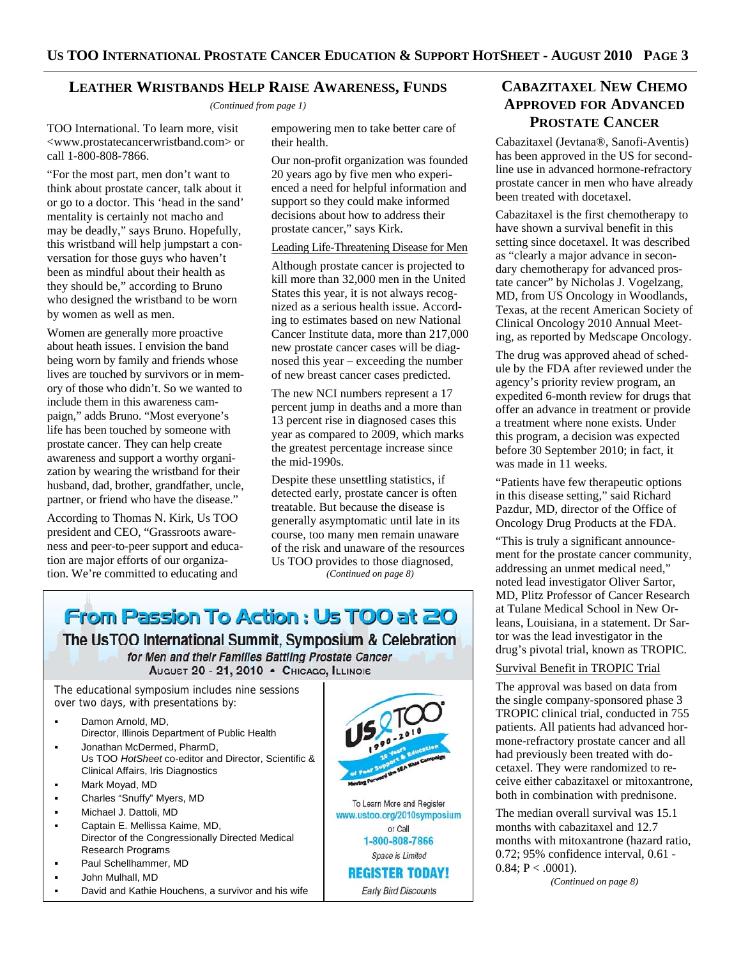## **LEATHER WRISTBANDS HELP RAISE AWARENESS, FUNDS**

*(Continued from page 1)* 

TOO International. To learn more, visit <www.prostatecancerwristband.com> or call 1-800-808-7866.

"For the most part, men don't want to think about prostate cancer, talk about it or go to a doctor. This 'head in the sand' mentality is certainly not macho and may be deadly," says Bruno. Hopefully, this wristband will help jumpstart a conversation for those guys who haven't been as mindful about their health as they should be," according to Bruno who designed the wristband to be worn by women as well as men.

Women are generally more proactive about heath issues. I envision the band being worn by family and friends whose lives are touched by survivors or in memory of those who didn't. So we wanted to include them in this awareness campaign," adds Bruno. "Most everyone's life has been touched by someone with prostate cancer. They can help create awareness and support a worthy organization by wearing the wristband for their husband, dad, brother, grandfather, uncle, partner, or friend who have the disease."

According to Thomas N. Kirk, Us TOO president and CEO, "Grassroots awareness and peer-to-peer support and education are major efforts of our organization. We're committed to educating and

empowering men to take better care of their health.

Our non-profit organization was founded 20 years ago by five men who experienced a need for helpful information and support so they could make informed decisions about how to address their prostate cancer," says Kirk.

## Leading Life-Threatening Disease for Men

Although prostate cancer is projected to kill more than 32,000 men in the United States this year, it is not always recognized as a serious health issue. According to estimates based on new National Cancer Institute data, more than 217,000 new prostate cancer cases will be diagnosed this year – exceeding the number of new breast cancer cases predicted.

The new NCI numbers represent a 17 percent jump in deaths and a more than 13 percent rise in diagnosed cases this year as compared to 2009, which marks the greatest percentage increase since the mid-1990s.

Despite these unsettling statistics, if detected early, prostate cancer is often treatable. But because the disease is generally asymptomatic until late in its course, too many men remain unaware of the risk and unaware of the resources Us TOO provides to those diagnosed, *(Continued on page 8)* 

# From Passion To Action: Us TOO at 20

The UsTOO International Summit, Symposium & Celebration for Men and their Families Battling Prostate Cancer AUGUST 20 - 21, 2010 · CHICAGO, ILLINOIS

The educational symposium includes nine sessions over two days, with presentations by:

- Damon Arnold, MD, Director, Illinois Department of Public Health Jonathan McDermed, PharmD,
- Us TOO *HotSheet* co-editor and Director, Scientific & Clinical Affairs, Iris Diagnostics
- Mark Moyad, MD
- Charles "Snuffy" Myers, MD
- Michael J. Dattoli, MD
- Captain E. Mellissa Kaime, MD, Director of the Congressionally Directed Medical Research Programs
- Paul Schellhammer, MD
- John Mulhall, MD
- David and Kathie Houchens, a survivor and his wife



1-800-808-7866

Space is Limited **REGISTER TODAY!** 

Early Bird Discounts

# **CABAZITAXEL NEW CHEMO APPROVED FOR ADVANCED PROSTATE CANCER**

Cabazitaxel (Jevtana®, Sanofi-Aventis) has been approved in the US for secondline use in advanced hormone-refractory prostate cancer in men who have already been treated with docetaxel.

Cabazitaxel is the first chemotherapy to have shown a survival benefit in this setting since docetaxel. It was described as "clearly a major advance in secondary chemotherapy for advanced prostate cancer" by Nicholas J. Vogelzang, MD, from US Oncology in Woodlands, Texas, at the recent American Society of Clinical Oncology 2010 Annual Meeting, as reported by Medscape Oncology.

The drug was approved ahead of schedule by the FDA after reviewed under the agency's priority review program, an expedited 6-month review for drugs that offer an advance in treatment or provide a treatment where none exists. Under this program, a decision was expected before 30 September 2010; in fact, it was made in 11 weeks.

"Patients have few therapeutic options in this disease setting," said Richard Pazdur, MD, director of the Office of Oncology Drug Products at the FDA.

"This is truly a significant announcement for the prostate cancer community, addressing an unmet medical need," noted lead investigator Oliver Sartor, MD, Plitz Professor of Cancer Research at Tulane Medical School in New Orleans, Louisiana, in a statement. Dr Sartor was the lead investigator in the drug's pivotal trial, known as TROPIC.

## Survival Benefit in TROPIC Trial

The approval was based on data from the single company-sponsored phase 3 TROPIC clinical trial, conducted in 755 patients. All patients had advanced hormone-refractory prostate cancer and all had previously been treated with docetaxel. They were randomized to receive either cabazitaxel or mitoxantrone, both in combination with prednisone.

The median overall survival was 15.1 months with cabazitaxel and 12.7 months with mitoxantrone (hazard ratio, 0.72; 95% confidence interval, 0.61 -  $0.84; P < .0001$ ).

*(Continued on page 8)*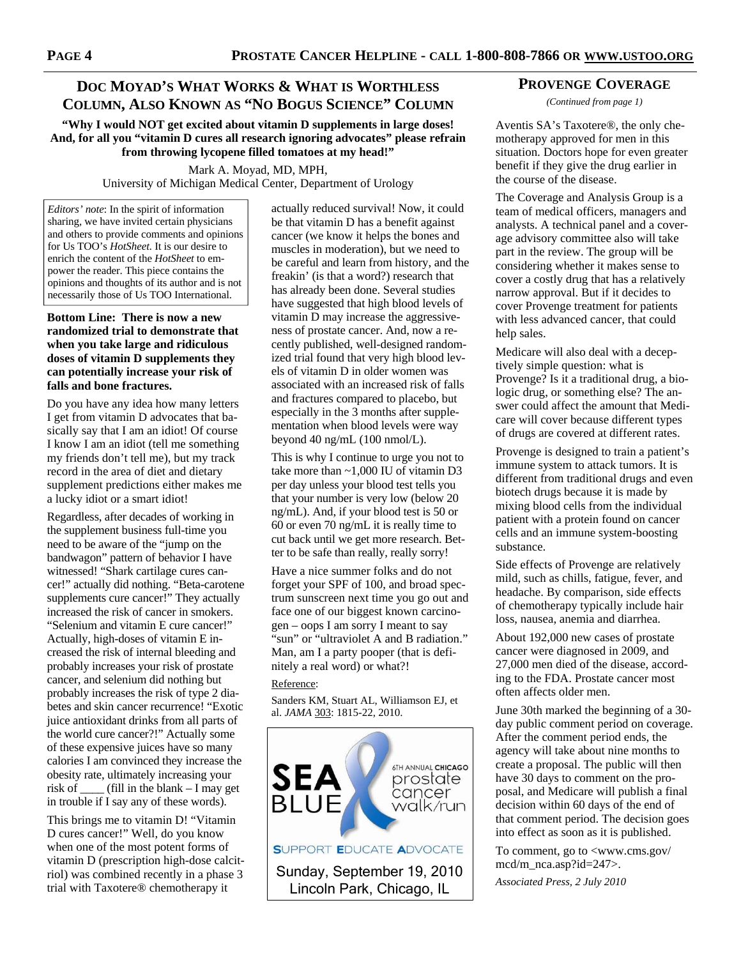# **DOC MOYAD'S WHAT WORKS & WHAT IS WORTHLESS COLUMN, ALSO KNOWN AS "NO BOGUS SCIENCE" COLUMN**

**"Why I would NOT get excited about vitamin D supplements in large doses! And, for all you "vitamin D cures all research ignoring advocates" please refrain from throwing lycopene filled tomatoes at my head!"** 

> Mark A. Moyad, MD, MPH, University of Michigan Medical Center, Department of Urology

*Editors' note*: In the spirit of information sharing, we have invited certain physicians and others to provide comments and opinions for Us TOO's *HotSheet.* It is our desire to enrich the content of the *HotSheet* to empower the reader. This piece contains the opinions and thoughts of its author and is not necessarily those of Us TOO International.

#### **Bottom Line: There is now a new randomized trial to demonstrate that when you take large and ridiculous doses of vitamin D supplements they can potentially increase your risk of falls and bone fractures.**

Do you have any idea how many letters I get from vitamin D advocates that basically say that I am an idiot! Of course I know I am an idiot (tell me something my friends don't tell me), but my track record in the area of diet and dietary supplement predictions either makes me a lucky idiot or a smart idiot!

Regardless, after decades of working in the supplement business full-time you need to be aware of the "jump on the bandwagon" pattern of behavior I have witnessed! "Shark cartilage cures cancer!" actually did nothing. "Beta-carotene supplements cure cancer!" They actually increased the risk of cancer in smokers. "Selenium and vitamin E cure cancer!" Actually, high-doses of vitamin E increased the risk of internal bleeding and probably increases your risk of prostate cancer, and selenium did nothing but probably increases the risk of type 2 diabetes and skin cancer recurrence! "Exotic juice antioxidant drinks from all parts of the world cure cancer?!" Actually some of these expensive juices have so many calories I am convinced they increase the obesity rate, ultimately increasing your risk of  $\qquad$  (fill in the blank – I may get in trouble if I say any of these words).

This brings me to vitamin D! "Vitamin D cures cancer!" Well, do you know when one of the most potent forms of vitamin D (prescription high-dose calcitriol) was combined recently in a phase 3 trial with Taxotere® chemotherapy it

actually reduced survival! Now, it could be that vitamin D has a benefit against cancer (we know it helps the bones and muscles in moderation), but we need to be careful and learn from history, and the freakin' (is that a word?) research that has already been done. Several studies have suggested that high blood levels of vitamin D may increase the aggressiveness of prostate cancer. And, now a recently published, well-designed randomized trial found that very high blood levels of vitamin D in older women was associated with an increased risk of falls and fractures compared to placebo, but especially in the 3 months after supplementation when blood levels were way beyond 40 ng/mL (100 nmol/L).

This is why I continue to urge you not to take more than ~1,000 IU of vitamin D3 per day unless your blood test tells you that your number is very low (below 20 ng/mL). And, if your blood test is 50 or 60 or even 70 ng/mL it is really time to cut back until we get more research. Better to be safe than really, really sorry!

Have a nice summer folks and do not forget your SPF of 100, and broad spectrum sunscreen next time you go out and face one of our biggest known carcinogen – oops I am sorry I meant to say "sun" or "ultraviolet A and B radiation." Man, am I a party pooper (that is definitely a real word) or what?!

#### Reference:

Sanders KM, Stuart AL, Williamson EJ, et al. *JAMA* 303: 1815-22, 2010.



## **PROVENGE COVERAGE**

*(Continued from page 1)* 

Aventis SA's Taxotere®, the only chemotherapy approved for men in this situation. Doctors hope for even greater benefit if they give the drug earlier in the course of the disease.

The Coverage and Analysis Group is a team of medical officers, managers and analysts. A technical panel and a coverage advisory committee also will take part in the review. The group will be considering whether it makes sense to cover a costly drug that has a relatively narrow approval. But if it decides to cover Provenge treatment for patients with less advanced cancer, that could help sales.

Medicare will also deal with a deceptively simple question: what is Provenge? Is it a traditional drug, a biologic drug, or something else? The answer could affect the amount that Medicare will cover because different types of drugs are covered at different rates.

Provenge is designed to train a patient's immune system to attack tumors. It is different from traditional drugs and even biotech drugs because it is made by mixing blood cells from the individual patient with a protein found on cancer cells and an immune system-boosting substance.

Side effects of Provenge are relatively mild, such as chills, fatigue, fever, and headache. By comparison, side effects of chemotherapy typically include hair loss, nausea, anemia and diarrhea.

About 192,000 new cases of prostate cancer were diagnosed in 2009, and 27,000 men died of the disease, according to the FDA. Prostate cancer most often affects older men.

June 30th marked the beginning of a 30 day public comment period on coverage. After the comment period ends, the agency will take about nine months to create a proposal. The public will then have 30 days to comment on the proposal, and Medicare will publish a final decision within 60 days of the end of that comment period. The decision goes into effect as soon as it is published.

To comment, go to <www.cms.gov/ mcd/m\_nca.asp?id=247>.

*Associated Press, 2 July 2010*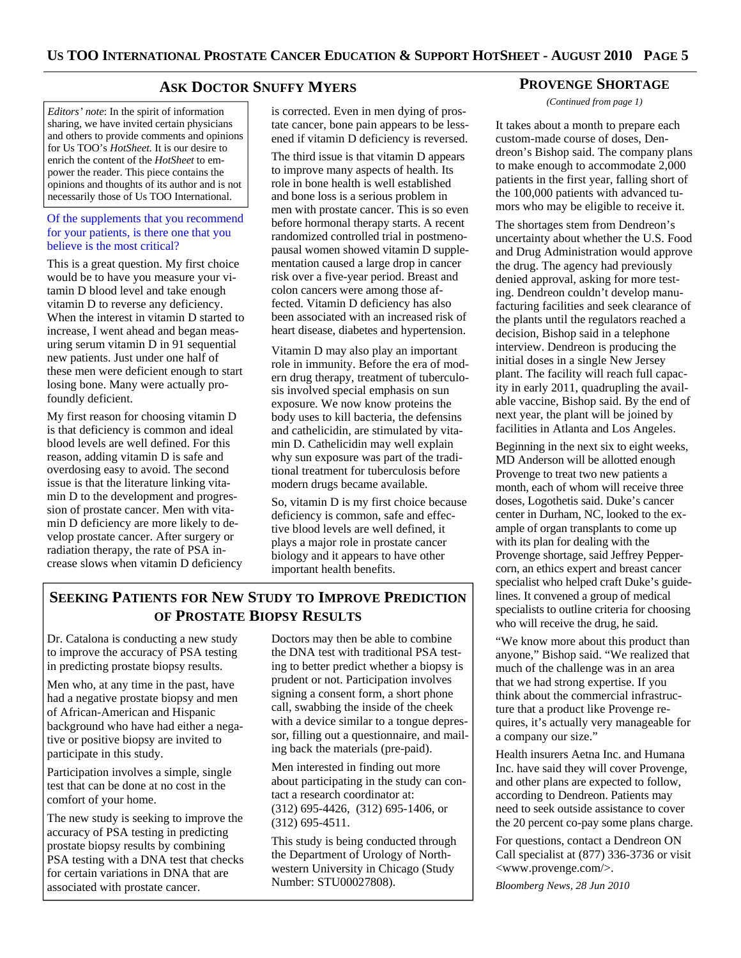## **ASK DOCTOR SNUFFY MYERS**

*Editors' note*: In the spirit of information sharing, we have invited certain physicians and others to provide comments and opinions for Us TOO's *HotSheet.* It is our desire to enrich the content of the *HotSheet* to empower the reader. This piece contains the opinions and thoughts of its author and is not necessarily those of Us TOO International.

#### Of the supplements that you recommend for your patients, is there one that you believe is the most critical?

This is a great question. My first choice would be to have you measure your vitamin D blood level and take enough vitamin D to reverse any deficiency. When the interest in vitamin D started to increase, I went ahead and began measuring serum vitamin D in 91 sequential new patients. Just under one half of these men were deficient enough to start losing bone. Many were actually profoundly deficient.

My first reason for choosing vitamin D is that deficiency is common and ideal blood levels are well defined. For this reason, adding vitamin D is safe and overdosing easy to avoid. The second issue is that the literature linking vitamin D to the development and progression of prostate cancer. Men with vitamin D deficiency are more likely to develop prostate cancer. After surgery or radiation therapy, the rate of PSA increase slows when vitamin D deficiency is corrected. Even in men dying of prostate cancer, bone pain appears to be lessened if vitamin D deficiency is reversed.

The third issue is that vitamin D appears to improve many aspects of health. Its role in bone health is well established and bone loss is a serious problem in men with prostate cancer. This is so even before hormonal therapy starts. A recent randomized controlled trial in postmenopausal women showed vitamin D supplementation caused a large drop in cancer risk over a five-year period. Breast and colon cancers were among those affected. Vitamin D deficiency has also been associated with an increased risk of heart disease, diabetes and hypertension.

Vitamin D may also play an important role in immunity. Before the era of modern drug therapy, treatment of tuberculosis involved special emphasis on sun exposure. We now know proteins the body uses to kill bacteria, the defensins and cathelicidin, are stimulated by vitamin D. Cathelicidin may well explain why sun exposure was part of the traditional treatment for tuberculosis before modern drugs became available.

So, vitamin D is my first choice because deficiency is common, safe and effective blood levels are well defined, it plays a major role in prostate cancer biology and it appears to have other important health benefits.

# **SEEKING PATIENTS FOR NEW STUDY TO IMPROVE PREDICTION OF PROSTATE BIOPSY RESULTS**

Dr. Catalona is conducting a new study to improve the accuracy of PSA testing in predicting prostate biopsy results.

Men who, at any time in the past, have had a negative prostate biopsy and men of African-American and Hispanic background who have had either a negative or positive biopsy are invited to participate in this study.

Participation involves a simple, single test that can be done at no cost in the comfort of your home.

The new study is seeking to improve the accuracy of PSA testing in predicting prostate biopsy results by combining PSA testing with a DNA test that checks for certain variations in DNA that are associated with prostate cancer.

Doctors may then be able to combine the DNA test with traditional PSA testing to better predict whether a biopsy is prudent or not. Participation involves signing a consent form, a short phone call, swabbing the inside of the cheek with a device similar to a tongue depressor, filling out a questionnaire, and mailing back the materials (pre-paid).

Men interested in finding out more about participating in the study can contact a research coordinator at: (312) 695-4426, (312) 695-1406, or (312) 695-4511.

This study is being conducted through the Department of Urology of Northwestern University in Chicago (Study Number: STU00027808).

## **PROVENGE SHORTAGE**

*(Continued from page 1)* 

It takes about a month to prepare each custom-made course of doses, Dendreon's Bishop said. The company plans to make enough to accommodate 2,000 patients in the first year, falling short of the 100,000 patients with advanced tumors who may be eligible to receive it.

The shortages stem from Dendreon's uncertainty about whether the U.S. Food and Drug Administration would approve the drug. The agency had previously denied approval, asking for more testing. Dendreon couldn't develop manufacturing facilities and seek clearance of the plants until the regulators reached a decision, Bishop said in a telephone interview. Dendreon is producing the initial doses in a single New Jersey plant. The facility will reach full capacity in early 2011, quadrupling the available vaccine, Bishop said. By the end of next year, the plant will be joined by facilities in Atlanta and Los Angeles.

Beginning in the next six to eight weeks, MD Anderson will be allotted enough Provenge to treat two new patients a month, each of whom will receive three doses, Logothetis said. Duke's cancer center in Durham, NC, looked to the example of organ transplants to come up with its plan for dealing with the Provenge shortage, said Jeffrey Peppercorn, an ethics expert and breast cancer specialist who helped craft Duke's guidelines. It convened a group of medical specialists to outline criteria for choosing who will receive the drug, he said.

"We know more about this product than anyone," Bishop said. "We realized that much of the challenge was in an area that we had strong expertise. If you think about the commercial infrastructure that a product like Provenge requires, it's actually very manageable for a company our size."

Health insurers Aetna Inc. and Humana Inc. have said they will cover Provenge, and other plans are expected to follow, according to Dendreon. Patients may need to seek outside assistance to cover the 20 percent co-pay some plans charge.

For questions, contact a Dendreon ON Call specialist at (877) 336-3736 or visit <www.provenge.com/>.

*Bloomberg News, 28 Jun 2010*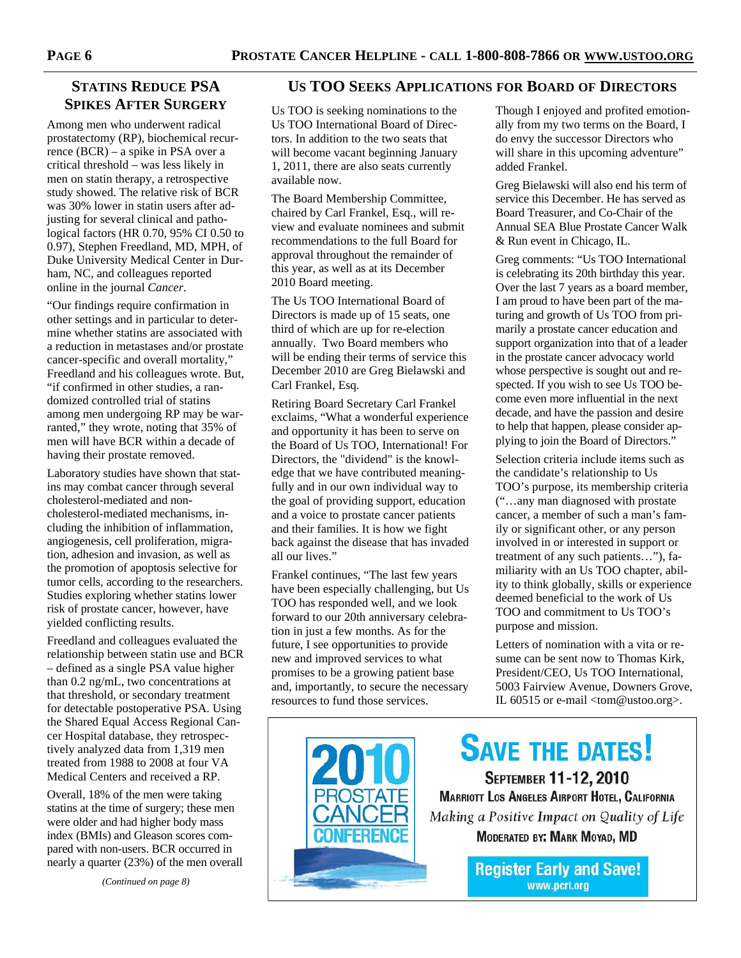# **STATINS REDUCE PSA SPIKES AFTER SURGERY**

Among men who underwent radical prostatectomy (RP), biochemical recurrence (BCR) – a spike in PSA over a critical threshold – was less likely in men on statin therapy, a retrospective study showed. The relative risk of BCR was 30% lower in statin users after adjusting for several clinical and pathological factors (HR 0.70, 95% CI 0.50 to 0.97), Stephen Freedland, MD, MPH, of Duke University Medical Center in Durham, NC, and colleagues reported online in the journal *Cancer*.

"Our findings require confirmation in other settings and in particular to determine whether statins are associated with a reduction in metastases and/or prostate cancer-specific and overall mortality," Freedland and his colleagues wrote. But, "if confirmed in other studies, a randomized controlled trial of statins among men undergoing RP may be warranted," they wrote, noting that 35% of men will have BCR within a decade of having their prostate removed.

Laboratory studies have shown that statins may combat cancer through several cholesterol-mediated and noncholesterol-mediated mechanisms, including the inhibition of inflammation, angiogenesis, cell proliferation, migration, adhesion and invasion, as well as the promotion of apoptosis selective for tumor cells, according to the researchers. Studies exploring whether statins lower risk of prostate cancer, however, have yielded conflicting results.

Freedland and colleagues evaluated the relationship between statin use and BCR – defined as a single PSA value higher than 0.2 ng/mL, two concentrations at that threshold, or secondary treatment for detectable postoperative PSA. Using the Shared Equal Access Regional Cancer Hospital database, they retrospectively analyzed data from 1,319 men treated from 1988 to 2008 at four VA Medical Centers and received a RP.

Overall, 18% of the men were taking statins at the time of surgery; these men were older and had higher body mass index (BMIs) and Gleason scores compared with non-users. BCR occurred in nearly a quarter (23%) of the men overall

*(Continued on page 8)* 

## **US TOO SEEKS APPLICATIONS FOR BOARD OF DIRECTORS**

Us TOO is seeking nominations to the Us TOO International Board of Directors. In addition to the two seats that will become vacant beginning January 1, 2011, there are also seats currently available now.

The Board Membership Committee, chaired by Carl Frankel, Esq., will review and evaluate nominees and submit recommendations to the full Board for approval throughout the remainder of this year, as well as at its December 2010 Board meeting.

The Us TOO International Board of Directors is made up of 15 seats, one third of which are up for re-election annually. Two Board members who will be ending their terms of service this December 2010 are Greg Bielawski and Carl Frankel, Esq.

Retiring Board Secretary Carl Frankel exclaims, "What a wonderful experience and opportunity it has been to serve on the Board of Us TOO, International! For Directors, the "dividend" is the knowledge that we have contributed meaningfully and in our own individual way to the goal of providing support, education and a voice to prostate cancer patients and their families. It is how we fight back against the disease that has invaded all our lives."

Frankel continues, "The last few years have been especially challenging, but Us TOO has responded well, and we look forward to our 20th anniversary celebration in just a few months. As for the future, I see opportunities to provide new and improved services to what promises to be a growing patient base and, importantly, to secure the necessary resources to fund those services.

Though I enjoyed and profited emotionally from my two terms on the Board, I do envy the successor Directors who will share in this upcoming adventure" added Frankel.

Greg Bielawski will also end his term of service this December. He has served as Board Treasurer, and Co-Chair of the Annual SEA Blue Prostate Cancer Walk & Run event in Chicago, IL.

Greg comments: "Us TOO International is celebrating its 20th birthday this year. Over the last 7 years as a board member, I am proud to have been part of the maturing and growth of Us TOO from primarily a prostate cancer education and support organization into that of a leader in the prostate cancer advocacy world whose perspective is sought out and respected. If you wish to see Us TOO become even more influential in the next decade, and have the passion and desire to help that happen, please consider applying to join the Board of Directors."

Selection criteria include items such as the candidate's relationship to Us TOO's purpose, its membership criteria ("…any man diagnosed with prostate cancer, a member of such a man's family or significant other, or any person involved in or interested in support or treatment of any such patients…"), familiarity with an Us TOO chapter, ability to think globally, skills or experience deemed beneficial to the work of Us TOO and commitment to Us TOO's purpose and mission.

Letters of nomination with a vita or resume can be sent now to Thomas Kirk, President/CEO, Us TOO International, 5003 Fairview Avenue, Downers Grove, IL 60515 or e-mail <tom@ustoo.org>.

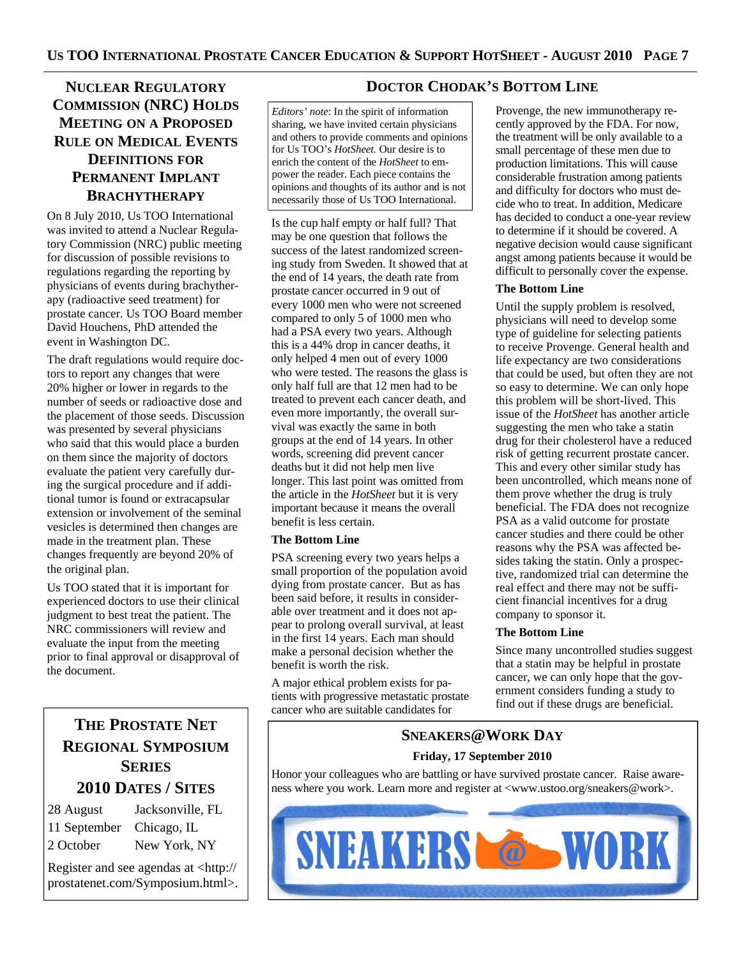# **NUCLEAR REGULATORY COMMISSION (NRC) HOLDS MEETING ON A PROPOSED RULE ON MEDICAL EVENTS DEFINITIONS FOR PERMANENT IMPLANT BRACHYTHERAPY**

On 8 July 2010, Us TOO International was invited to attend a Nuclear Regulatory Commission (NRC) public meeting for discussion of possible revisions to regulations regarding the reporting by physicians of events during brachytherapy (radioactive seed treatment) for prostate cancer. Us TOO Board member David Houchens, PhD attended the event in Washington DC.

The draft regulations would require doctors to report any changes that were 20% higher or lower in regards to the number of seeds or radioactive dose and the placement of those seeds. Discussion was presented by several physicians who said that this would place a burden on them since the majority of doctors evaluate the patient very carefully during the surgical procedure and if additional tumor is found or extracapsular extension or involvement of the seminal vesicles is determined then changes are made in the treatment plan. These changes frequently are beyond 20% of the original plan.

Us TOO stated that it is important for experienced doctors to use their clinical judgment to best treat the patient. The NRC commissioners will review and evaluate the input from the meeting prior to final approval or disapproval of the document.

# **THE PROSTATE NET REGIONAL SYMPOSIUM SERIES 2010 DATES / SITES**

| 28 August                | Jacksonville, FL |
|--------------------------|------------------|
| 11 September Chicago, IL |                  |
| 2 October                | New York, NY     |

Register and see agendas at <http:// prostatenet.com/Symposium.html>.

# **DOCTOR CHODAK'S BOTTOM LINE**

*Editors' note*: In the spirit of information sharing, we have invited certain physicians and others to provide comments and opinions for Us TOO's *HotSheet.* Our desire is to enrich the content of the *HotSheet* to empower the reader. Each piece contains the opinions and thoughts of its author and is not necessarily those of Us TOO International.

Is the cup half empty or half full? That may be one question that follows the success of the latest randomized screening study from Sweden. It showed that at the end of 14 years, the death rate from prostate cancer occurred in 9 out of every 1000 men who were not screened compared to only 5 of 1000 men who had a PSA every two years. Although this is a 44% drop in cancer deaths, it only helped 4 men out of every 1000 who were tested. The reasons the glass is only half full are that 12 men had to be treated to prevent each cancer death, and even more importantly, the overall survival was exactly the same in both groups at the end of 14 years. In other words, screening did prevent cancer deaths but it did not help men live longer. This last point was omitted from the article in the *HotSheet* but it is very important because it means the overall benefit is less certain.

## **The Bottom Line**

PSA screening every two years helps a small proportion of the population avoid dying from prostate cancer. But as has been said before, it results in considerable over treatment and it does not appear to prolong overall survival, at least in the first 14 years. Each man should make a personal decision whether the benefit is worth the risk.

A major ethical problem exists for patients with progressive metastatic prostate cancer who are suitable candidates for

Provenge, the new immunotherapy recently approved by the FDA. For now, the treatment will be only available to a small percentage of these men due to production limitations. This will cause considerable frustration among patients and difficulty for doctors who must decide who to treat. In addition, Medicare has decided to conduct a one-year review to determine if it should be covered. A negative decision would cause significant angst among patients because it would be difficult to personally cover the expense.

## **The Bottom Line**

Until the supply problem is resolved, physicians will need to develop some type of guideline for selecting patients to receive Provenge. General health and life expectancy are two considerations that could be used, but often they are not so easy to determine. We can only hope this problem will be short-lived. This issue of the *HotSheet* has another article suggesting the men who take a statin drug for their cholesterol have a reduced risk of getting recurrent prostate cancer. This and every other similar study has been uncontrolled, which means none of them prove whether the drug is truly beneficial. The FDA does not recognize PSA as a valid outcome for prostate cancer studies and there could be other reasons why the PSA was affected besides taking the statin. Only a prospective, randomized trial can determine the real effect and there may not be sufficient financial incentives for a drug company to sponsor it.

## **The Bottom Line**

Since many uncontrolled studies suggest that a statin may be helpful in prostate cancer, we can only hope that the government considers funding a study to find out if these drugs are beneficial.

# **SNEAKERS@WORK DAY Friday, 17 September 2010**

Honor your colleagues who are battling or have survived prostate cancer. Raise awareness where you work. Learn more and register at <www.ustoo.org/sneakers@work>.